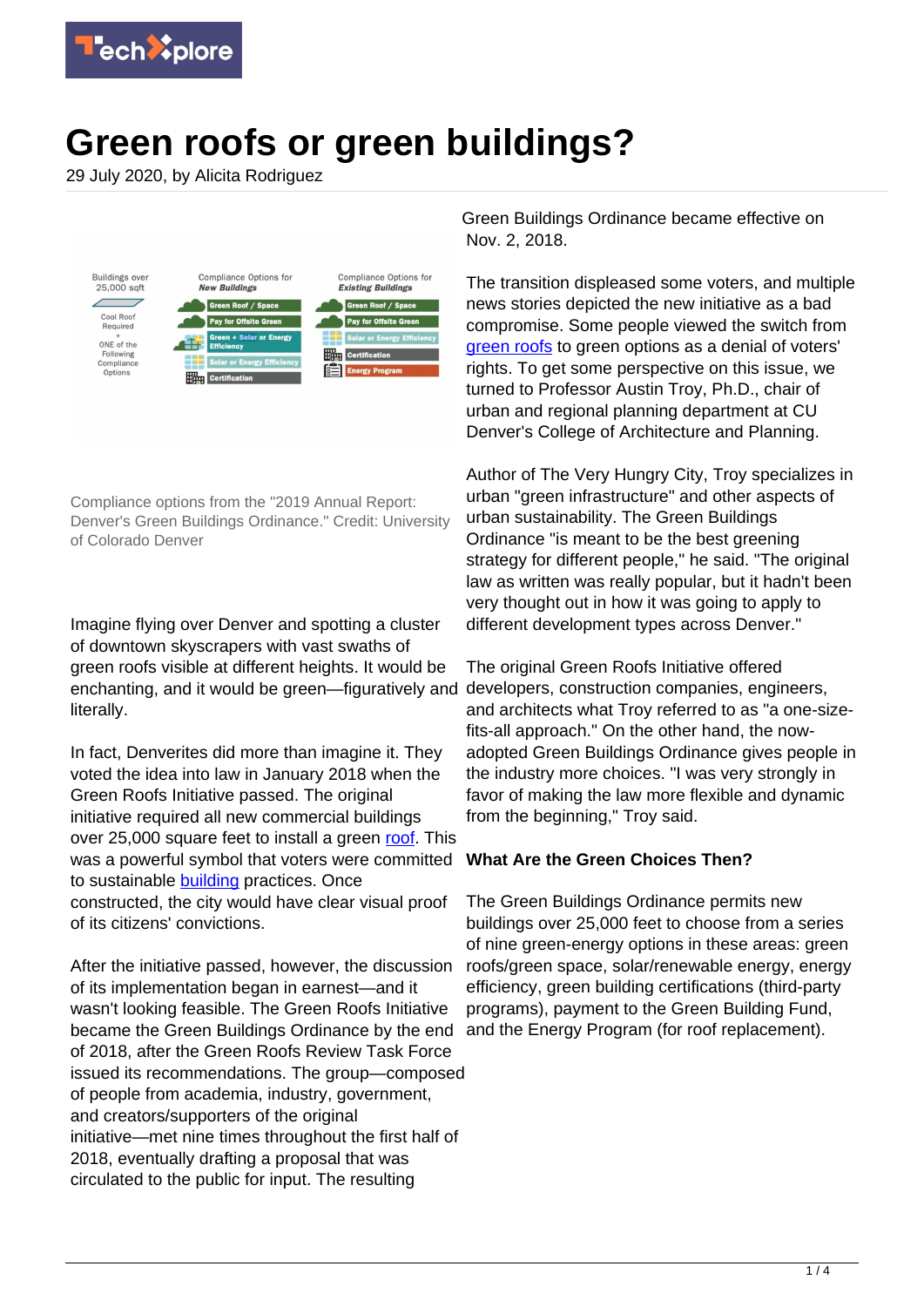

# **Green roofs or green buildings?**

29 July 2020, by Alicita Rodriguez



Compliance options from the "2019 Annual Report: Denver's Green Buildings Ordinance." Credit: University of Colorado Denver

Imagine flying over Denver and spotting a cluster of downtown skyscrapers with vast swaths of green roofs visible at different heights. It would be enchanting, and it would be green—figuratively and literally.

In fact, Denverites did more than imagine it. They voted the idea into law in January 2018 when the Green Roofs Initiative passed. The original initiative required all new commercial buildings over 25,000 square feet to install a green [roof](https://techxplore.com/tags/roof/). This was a powerful symbol that voters were committed to sustainable **building** practices. Once constructed, the city would have clear visual proof of its citizens' convictions.

After the initiative passed, however, the discussion of its implementation began in earnest—and it wasn't looking feasible. The Green Roofs Initiative became the Green Buildings Ordinance by the end of 2018, after the Green Roofs Review Task Force issued its recommendations. The group—composed of people from academia, industry, government, and creators/supporters of the original initiative—met nine times throughout the first half of 2018, eventually drafting a proposal that was circulated to the public for input. The resulting

Green Buildings Ordinance became effective on Nov. 2, 2018.

The transition displeased some voters, and multiple news stories depicted the new initiative as a bad compromise. Some people viewed the switch from [green roofs](https://techxplore.com/tags/green+roofs/) to green options as a denial of voters' rights. To get some perspective on this issue, we turned to Professor Austin Troy, Ph.D., chair of urban and regional planning department at CU Denver's College of Architecture and Planning.

Author of The Very Hungry City, Troy specializes in urban "green infrastructure" and other aspects of urban sustainability. The Green Buildings Ordinance "is meant to be the best greening strategy for different people," he said. "The original law as written was really popular, but it hadn't been very thought out in how it was going to apply to different development types across Denver."

The original Green Roofs Initiative offered developers, construction companies, engineers, and architects what Troy referred to as "a one-sizefits-all approach." On the other hand, the nowadopted Green Buildings Ordinance gives people in the industry more choices. "I was very strongly in favor of making the law more flexible and dynamic from the beginning," Troy said.

### **What Are the Green Choices Then?**

The Green Buildings Ordinance permits new buildings over 25,000 feet to choose from a series of nine green-energy options in these areas: green roofs/green space, solar/renewable energy, energy efficiency, green building certifications (third-party programs), payment to the Green Building Fund, and the Energy Program (for roof replacement).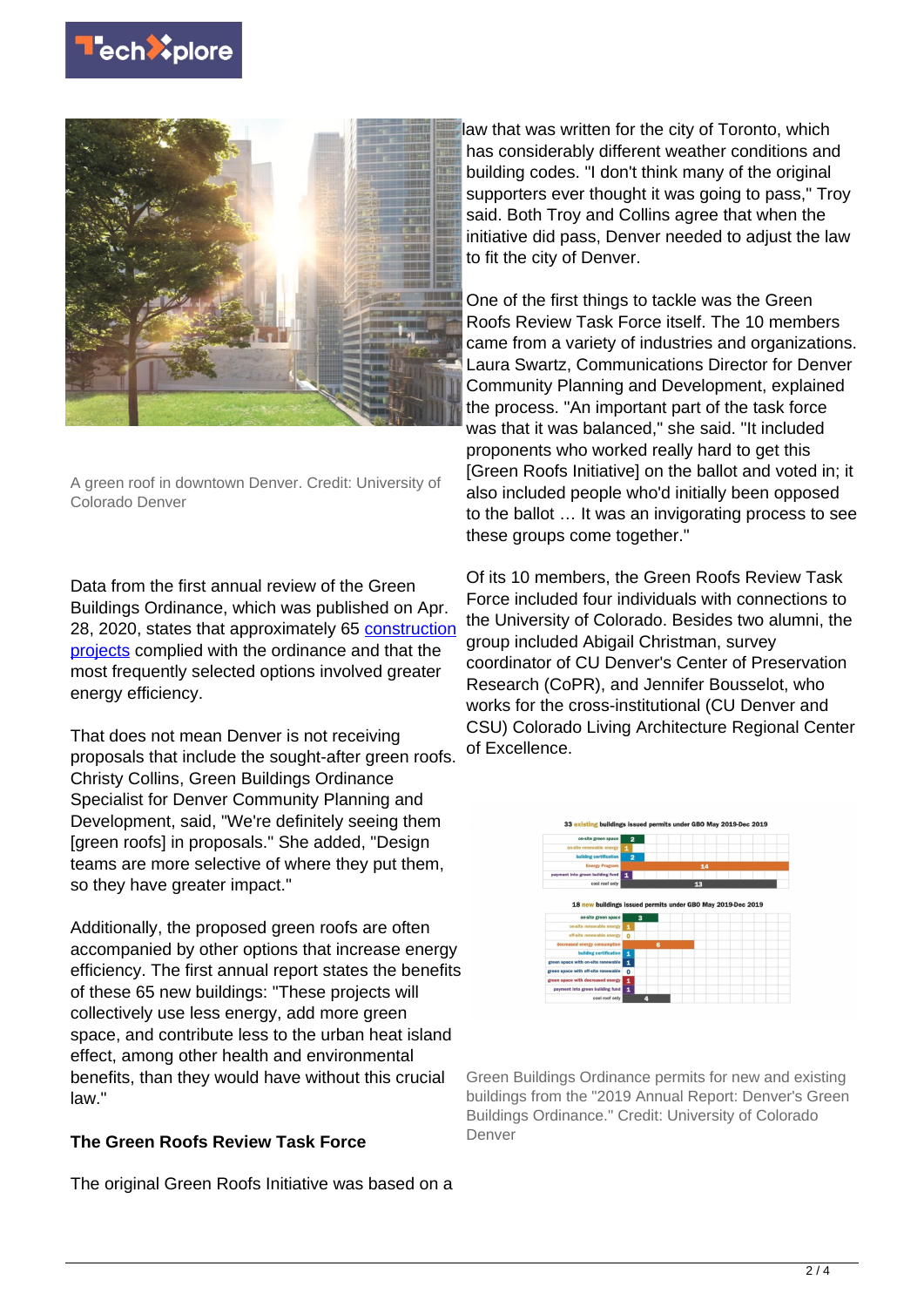



A green roof in downtown Denver. Credit: University of Colorado Denver

Data from the first annual review of the Green Buildings Ordinance, which was published on Apr. 28, 2020, states that approximately 65 [construction](https://techxplore.com/tags/construction+projects/) [projects](https://techxplore.com/tags/construction+projects/) complied with the ordinance and that the most frequently selected options involved greater energy efficiency.

That does not mean Denver is not receiving proposals that include the sought-after green roofs. Christy Collins, Green Buildings Ordinance Specialist for Denver Community Planning and Development, said, "We're definitely seeing them [green roofs] in proposals." She added, "Design teams are more selective of where they put them, so they have greater impact."

Additionally, the proposed green roofs are often accompanied by other options that increase energy efficiency. The first annual report states the benefits of these 65 new buildings: "These projects will collectively use less energy, add more green space, and contribute less to the urban heat island effect, among other health and environmental benefits, than they would have without this crucial law."

### **The Green Roofs Review Task Force**

The original Green Roofs Initiative was based on a

law that was written for the city of Toronto, which has considerably different weather conditions and building codes. "I don't think many of the original supporters ever thought it was going to pass," Troy said. Both Troy and Collins agree that when the initiative did pass, Denver needed to adjust the law to fit the city of Denver.

One of the first things to tackle was the Green Roofs Review Task Force itself. The 10 members came from a variety of industries and organizations. Laura Swartz, Communications Director for Denver Community Planning and Development, explained the process. "An important part of the task force was that it was balanced," she said. "It included proponents who worked really hard to get this [Green Roofs Initiative] on the ballot and voted in; it also included people who'd initially been opposed to the ballot … It was an invigorating process to see these groups come together."

Of its 10 members, the Green Roofs Review Task Force included four individuals with connections to the University of Colorado. Besides two alumni, the group included Abigail Christman, survey coordinator of CU Denver's Center of Preservation Research (CoPR), and Jennifer Bousselot, who works for the cross-institutional (CU Denver and CSU) Colorado Living Architecture Regional Center of Excellence.



Green Buildings Ordinance permits for new and existing buildings from the "2019 Annual Report: Denver's Green Buildings Ordinance." Credit: University of Colorado Denver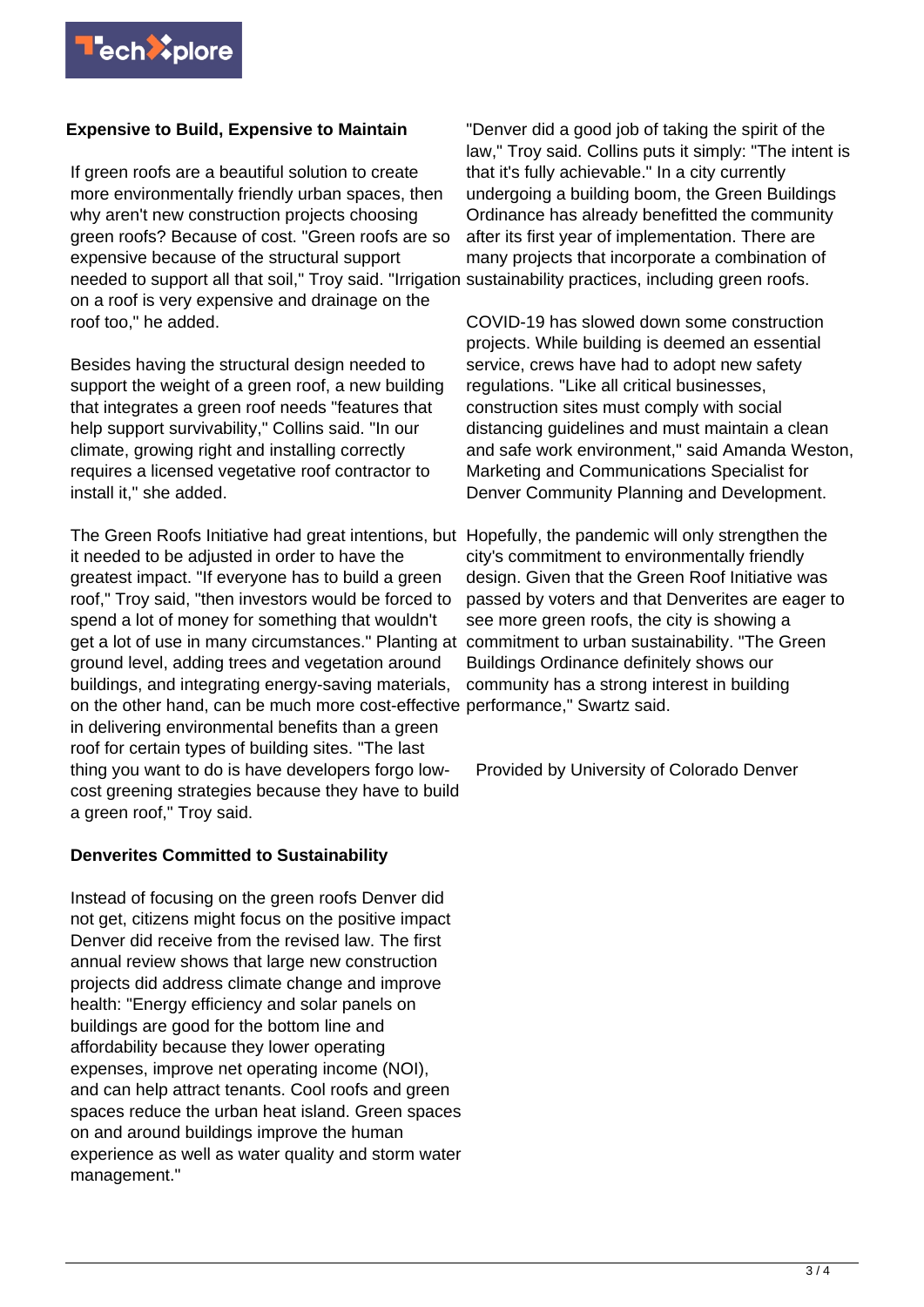

## **Expensive to Build, Expensive to Maintain**

If green roofs are a beautiful solution to create more environmentally friendly urban spaces, then why aren't new construction projects choosing green roofs? Because of cost. "Green roofs are so expensive because of the structural support needed to support all that soil," Troy said. "Irrigation sustainability practices, including green roofs. on a roof is very expensive and drainage on the roof too," he added.

Besides having the structural design needed to support the weight of a green roof, a new building that integrates a green roof needs "features that help support survivability," Collins said. "In our climate, growing right and installing correctly requires a licensed vegetative roof contractor to install it," she added.

The Green Roofs Initiative had great intentions, but Hopefully, the pandemic will only strengthen the it needed to be adjusted in order to have the greatest impact. "If everyone has to build a green roof," Troy said, "then investors would be forced to spend a lot of money for something that wouldn't get a lot of use in many circumstances." Planting at commitment to urban sustainability. "The Green ground level, adding trees and vegetation around buildings, and integrating energy-saving materials, on the other hand, can be much more cost-effective performance," Swartz said. in delivering environmental benefits than a green roof for certain types of building sites. "The last thing you want to do is have developers forgo lowcost greening strategies because they have to build a green roof," Troy said.

### **Denverites Committed to Sustainability**

Instead of focusing on the green roofs Denver did not get, citizens might focus on the positive impact Denver did receive from the revised law. The first annual review shows that large new construction projects did address climate change and improve health: "Energy efficiency and solar panels on buildings are good for the bottom line and affordability because they lower operating expenses, improve net operating income (NOI), and can help attract tenants. Cool roofs and green spaces reduce the urban heat island. Green spaces on and around buildings improve the human experience as well as water quality and storm water management."

"Denver did a good job of taking the spirit of the law," Troy said. Collins puts it simply: "The intent is that it's fully achievable." In a city currently undergoing a building boom, the Green Buildings Ordinance has already benefitted the community after its first year of implementation. There are many projects that incorporate a combination of

COVID-19 has slowed down some construction projects. While building is deemed an essential service, crews have had to adopt new safety regulations. "Like all critical businesses, construction sites must comply with social distancing guidelines and must maintain a clean and safe work environment," said Amanda Weston, Marketing and Communications Specialist for Denver Community Planning and Development.

city's commitment to environmentally friendly design. Given that the Green Roof Initiative was passed by voters and that Denverites are eager to see more green roofs, the city is showing a Buildings Ordinance definitely shows our community has a strong interest in building

Provided by University of Colorado Denver